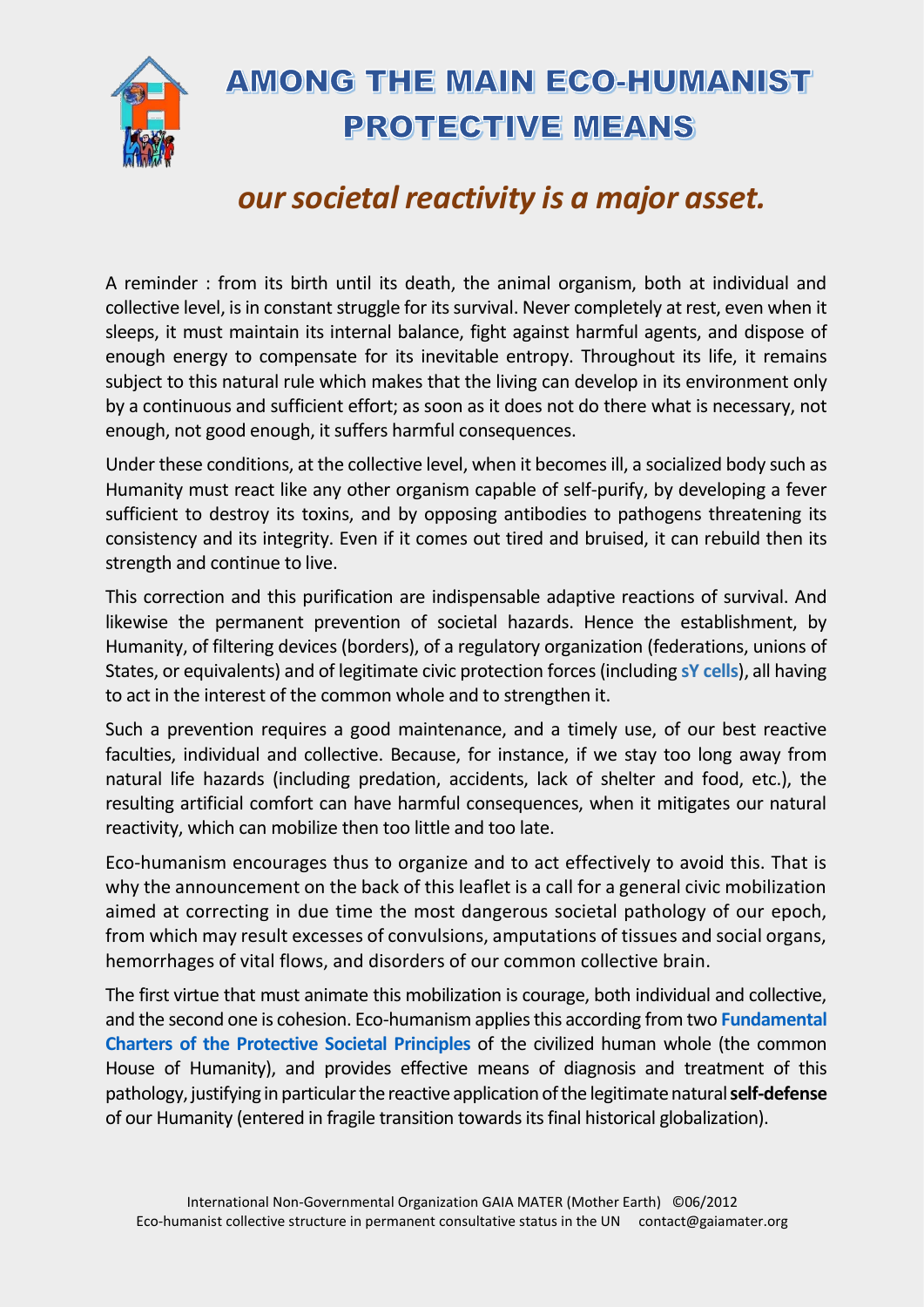

## **AMONG THE MAIN ECO-HUMANIST PROTECTIVE MEANS**

## *our societal reactivity is a major asset.*

A reminder : from its birth until its death, the animal organism, both at individual and collective level, is in constant struggle for its survival. Never completely at rest, even when it sleeps, it must maintain its internal balance, fight against harmful agents, and dispose of enough energy to compensate for its inevitable entropy. Throughout its life, it remains subject to this natural rule which makes that the living can develop in its environment only by a continuous and sufficient effort; as soon as it does not do there what is necessary, not enough, not good enough, it suffers harmful consequences.

Under these conditions, at the collective level, when it becomes ill, a socialized body such as Humanity must react like any other organism capable of self-purify, by developing a fever sufficient to destroy its toxins, and by opposing antibodies to pathogens threatening its consistency and its integrity. Even if it comes out tired and bruised, it can rebuild then its strength and continue to live.

This correction and this purification are indispensable adaptive reactions of survival. And likewise the permanent prevention of societal hazards. Hence the establishment, by Humanity, of filtering devices (borders), of a regulatory organization (federations, unions of States, or equivalents) and of legitimate civic protection forces (including **[sY cells](http://www.marc-carl.net/download/MementoEH-AM2.pdf)**), all having to act in the interest of the common whole and to strengthen it.

Such a prevention requires a good maintenance, and a timely use, of our best reactive faculties, individual and collective. Because, for instance, if we stay too long away from natural life hazards (including predation, accidents, lack of shelter and food, etc.), the resulting artificial comfort can have harmful consequences, when it mitigates our natural reactivity, which can mobilize then too little and too late.

Eco-humanism encourages thus to organize and to act effectively to avoid this. That is why the announcement on the back of this leaflet is a call for a general civic mobilization aimed at correcting in due time the most dangerous societal pathology of our epoch, from which may result excesses of convulsions, amputations of tissues and social organs, hemorrhages of vital flows, and disorders of our common collective brain.

The first virtue that must animate this mobilization is courage, both individual and collective, and the second one is cohesion. Eco-humanism appliesthis according from two **[Fundamental](http://www.marc-carl.net/download/CFPS-EH_en.pdf)  [Charters of the Protective](http://www.marc-carl.net/download/CFPS-EH_en.pdf) Societal Principles** of the civilized human whole (the common House of Humanity), and provides effective means of diagnosis and treatment of this pathology, justifying in particular the reactive application of the legitimatenatural **self-defense** of our Humanity (entered in fragile transition towards itsfinal historical globalization).